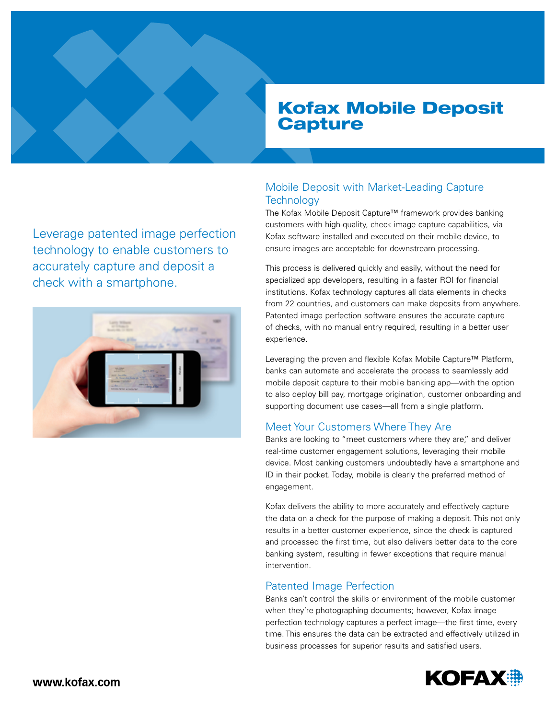# Kofax Mobile Deposit **Capture**

Leverage patented image perfection technology to enable customers to accurately capture and deposit a check with a smartphone.



## Mobile Deposit with Market-Leading Capture **Technology**

The Kofax Mobile Deposit Capture™ framework provides banking customers with high-quality, check image capture capabilities, via Kofax software installed and executed on their mobile device, to ensure images are acceptable for downstream processing.

This process is delivered quickly and easily, without the need for specialized app developers, resulting in a faster ROI for financial institutions. Kofax technology captures all data elements in checks from 22 countries, and customers can make deposits from anywhere. Patented image perfection software ensures the accurate capture of checks, with no manual entry required, resulting in a better user experience.

Leveraging the proven and flexible Kofax Mobile Capture™ Platform, banks can automate and accelerate the process to seamlessly add mobile deposit capture to their mobile banking app—with the option to also deploy bill pay, mortgage origination, customer onboarding and supporting document use cases—all from a single platform.

## Meet Your Customers Where They Are

Banks are looking to "meet customers where they are," and deliver real-time customer engagement solutions, leveraging their mobile device. Most banking customers undoubtedly have a smartphone and ID in their pocket. Today, mobile is clearly the preferred method of engagement.

Kofax delivers the ability to more accurately and effectively capture the data on a check for the purpose of making a deposit. This not only results in a better customer experience, since the check is captured and processed the first time, but also delivers better data to the core banking system, resulting in fewer exceptions that require manual intervention.

## Patented Image Perfection

Banks can't control the skills or environment of the mobile customer when they're photographing documents; however, Kofax image perfection technology captures a perfect image—the first time, every time. This ensures the data can be extracted and effectively utilized in business processes for superior results and satisfied users.